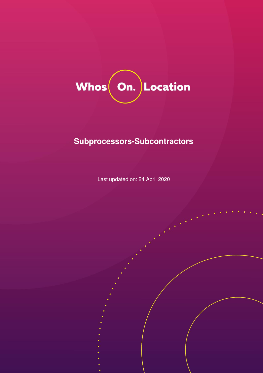

# **Subprocessors-Subcontractors**

Last updated on: 24 April 2020

© WhosOnLocation Limited 1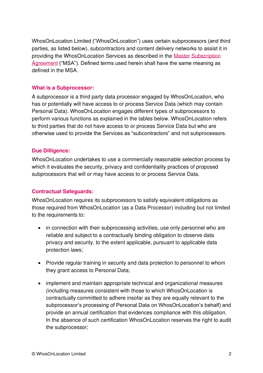WhosOnLocation Limited ("WhosOnLocation") uses certain subprocessors (and third parties, as listed below), subcontractors and content delivery networks to assist it in providing the WhosOnLocation Services as described in the [Master Subscription](https://whosonlocation.com/master-subscription-agreement/)  [Agreement](https://whosonlocation.com/master-subscription-agreement/) ("MSA"). Defined terms used herein shall have the same meaning as defined in the MSA.

## **What is a Subprocessor:**

A subprocessor is a third party data processor engaged by WhosOnLocation, who has or potentially will have access to or process Service Data (which may contain Personal Data). WhosOnLocation engages different types of subprocessors to perform various functions as explained in the tables below. WhosOnLocation refers to third parties that do not have access to or process Service Data but who are otherwise used to provide the Services as "subcontractors" and not subprocessors.

## **Due Dilligence:**

WhosOnLocation undertakes to use a commercially reasonable selection process by which it evaluates the security, privacy and confidentiality practices of proposed subprocessors that will or may have access to or process Service Data.

#### **Contractual Safeguards:**

WhosOnLocation requires its subprocessors to satisfy equivalent obligations as those required from WhosOnLocation (as a Data Processor) including but not limited to the requirements to:

- in connection with their subprocessing activities, use only personnel who are reliable and subject to a contractually binding obligation to observe data privacy and security, to the extent applicable, pursuant to applicable data protection laws;
- Provide regular training in security and data protection to personnel to whom they grant access to Personal Data;
- implement and maintain appropriate technical and organizational measures (including measures consistent with those to which WhosOnLocation is contractually committed to adhere insofar as they are equally relevant to the subprocessor's processing of Personal Data on WhosOnLocation's behalf) and provide an annual certification that evidences compliance with this obligation. In the absence of such certification WhosOnLocation reserves the right to audit the subprocessor;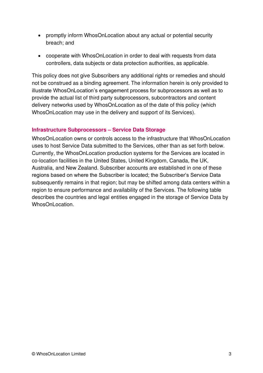- promptly inform WhosOnLocation about any actual or potential security breach; and
- cooperate with WhosOnLocation in order to deal with requests from data controllers, data subjects or data protection authorities, as applicable.

This policy does not give Subscribers any additional rights or remedies and should not be construed as a binding agreement. The information herein is only provided to illustrate WhosOnLocation's engagement process for subprocessors as well as to provide the actual list of third party subprocessors, subcontractors and content delivery networks used by WhosOnLocation as of the date of this policy (which WhosOnLocation may use in the delivery and support of its Services).

# **Infrastructure Subprocessors – Service Data Storage**

WhosOnLocation owns or controls access to the infrastructure that WhosOnLocation uses to host Service Data submitted to the Services, other than as set forth below. Currently, the WhosOnLocation production systems for the Services are located in co-location facilities in the United States, United Kingdom, Canada, the UK, Australia, and New Zealand. Subscriber accounts are established in one of these regions based on where the Subscriber is located; the Subscriber's Service Data subsequently remains in that region; but may be shifted among data centers within a region to ensure performance and availability of the Services. The following table describes the countries and legal entities engaged in the storage of Service Data by WhosOnLocation.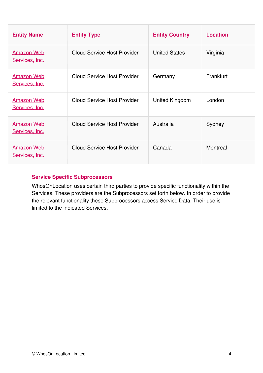| <b>Entity Name</b>                  | <b>Entity Type</b>                 | <b>Entity Country</b> | <b>Location</b> |
|-------------------------------------|------------------------------------|-----------------------|-----------------|
| Amazon Web<br>Services, Inc.        | <b>Cloud Service Host Provider</b> | <b>United States</b>  | Virginia        |
| <b>Amazon Web</b><br>Services, Inc. | <b>Cloud Service Host Provider</b> | Germany               | Frankfurt       |
| Amazon Web<br>Services, Inc.        | <b>Cloud Service Host Provider</b> | United Kingdom        | London          |
| <b>Amazon Web</b><br>Services, Inc. | <b>Cloud Service Host Provider</b> | Australia             | Sydney          |
| Amazon Web<br>Services, Inc.        | <b>Cloud Service Host Provider</b> | Canada                | Montreal        |

# **Service Specific Subprocessors**

WhosOnLocation uses certain third parties to provide specific functionality within the Services. These providers are the Subprocessors set forth below. In order to provide the relevant functionality these Subprocessors access Service Data. Their use is limited to the indicated Services.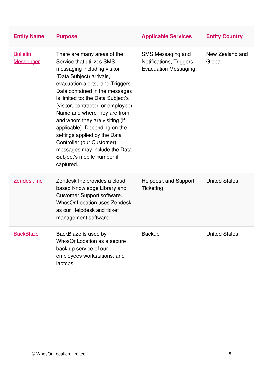| <b>Entity Name</b>           | <b>Purpose</b>                                                                                                                                                                                                                                                                                                                                                                                                                                                                                                     | <b>Applicable Services</b>                                                   | <b>Entity Country</b>     |
|------------------------------|--------------------------------------------------------------------------------------------------------------------------------------------------------------------------------------------------------------------------------------------------------------------------------------------------------------------------------------------------------------------------------------------------------------------------------------------------------------------------------------------------------------------|------------------------------------------------------------------------------|---------------------------|
| <b>Bulletin</b><br>Messenger | There are many areas of the<br>Service that utilizes SMS<br>messaging including visitor<br>(Data Subject) arrivals,<br>evacuation alerts,, and Triggers.<br>Data contained in the messages<br>is limited to: the Data Subject's<br>(visitor, contractor, or employee)<br>Name and where they are from,<br>and whom they are visiting (if<br>applicable). Depending on the<br>settings applied by the Data<br>Controller (our Customer)<br>messages may include the Data<br>Subject's mobile number if<br>captured. | SMS Messaging and<br>Notifications, Triggers,<br><b>Evacuation Messaging</b> | New Zealand and<br>Global |
| <b>Zendesk Inc</b>           | Zendesk Inc provides a cloud-<br>based Knowledge Library and<br>Customer Support software.<br><b>WhosOnLocation uses Zendesk</b><br>as our Helpdesk and ticket<br>management software.                                                                                                                                                                                                                                                                                                                             | <b>Helpdesk and Support</b><br>Ticketing                                     | <b>United States</b>      |
| <b>BackBlaze</b>             | BackBlaze is used by<br>WhosOnLocation as a secure<br>back up service of our<br>employees workstations, and<br>laptops.                                                                                                                                                                                                                                                                                                                                                                                            | Backup                                                                       | <b>United States</b>      |